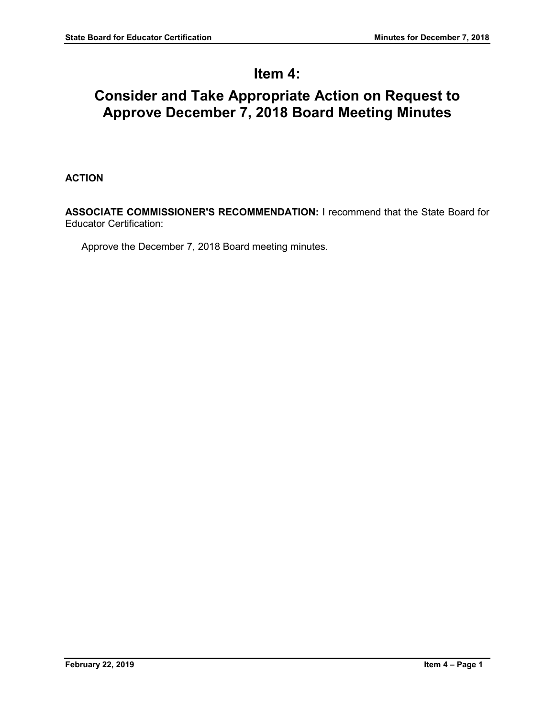## **Item 4:**

## **Consider and Take Appropriate Action on Request to Approve December 7, 2018 Board Meeting Minutes**

## **ACTION**

**ASSOCIATE COMMISSIONER'S RECOMMENDATION:** I recommend that the State Board for Educator Certification:

Approve the December 7, 2018 Board meeting minutes.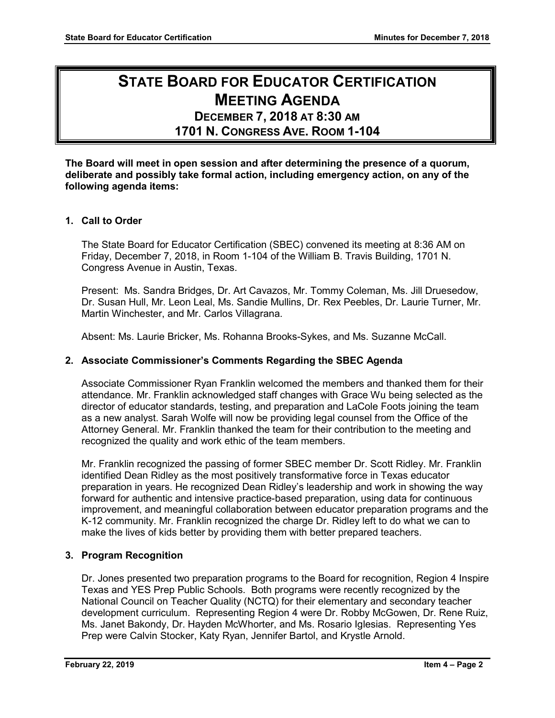# **STATE BOARD FOR EDUCATOR CERTIFICATION MEETING AGENDA**

# **DECEMBER 7, 2018 AT 8:30 AM**

**1701 N. CONGRESS AVE. ROOM 1-104**

**The Board will meet in open session and after determining the presence of a quorum, deliberate and possibly take formal action, including emergency action, on any of the following agenda items:**

## **1. Call to Order**

The State Board for Educator Certification (SBEC) convened its meeting at 8:36 AM on Friday, December 7, 2018, in Room 1-104 of the William B. Travis Building, 1701 N. Congress Avenue in Austin, Texas.

Present: Ms. Sandra Bridges, Dr. Art Cavazos, Mr. Tommy Coleman, Ms. Jill Druesedow, Dr. Susan Hull, Mr. Leon Leal, Ms. Sandie Mullins, Dr. Rex Peebles, Dr. Laurie Turner, Mr. Martin Winchester, and Mr. Carlos Villagrana.

Absent: Ms. Laurie Bricker, Ms. Rohanna Brooks-Sykes, and Ms. Suzanne McCall.

## **2. Associate Commissioner's Comments Regarding the SBEC Agenda**

Associate Commissioner Ryan Franklin welcomed the members and thanked them for their attendance. Mr. Franklin acknowledged staff changes with Grace Wu being selected as the director of educator standards, testing, and preparation and LaCole Foots joining the team as a new analyst. Sarah Wolfe will now be providing legal counsel from the Office of the Attorney General. Mr. Franklin thanked the team for their contribution to the meeting and recognized the quality and work ethic of the team members.

Mr. Franklin recognized the passing of former SBEC member Dr. Scott Ridley. Mr. Franklin identified Dean Ridley as the most positively transformative force in Texas educator preparation in years. He recognized Dean Ridley's leadership and work in showing the way forward for authentic and intensive practice-based preparation, using data for continuous improvement, and meaningful collaboration between educator preparation programs and the K-12 community. Mr. Franklin recognized the charge Dr. Ridley left to do what we can to make the lives of kids better by providing them with better prepared teachers.

## **3. Program Recognition**

Dr. Jones presented two preparation programs to the Board for recognition, Region 4 Inspire Texas and YES Prep Public Schools. Both programs were recently recognized by the National Council on Teacher Quality (NCTQ) for their elementary and secondary teacher development curriculum. Representing Region 4 were Dr. Robby McGowen, Dr. Rene Ruiz, Ms. Janet Bakondy, Dr. Hayden McWhorter, and Ms. Rosario Iglesias. Representing Yes Prep were Calvin Stocker, Katy Ryan, Jennifer Bartol, and Krystle Arnold.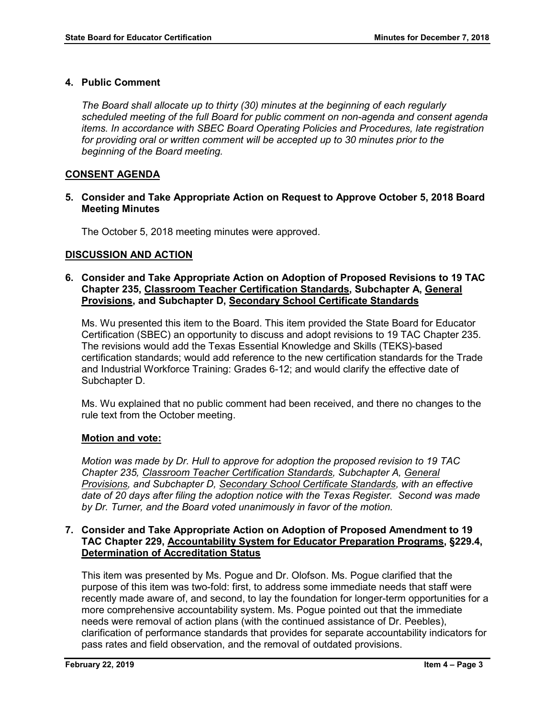## **4. Public Comment**

*The Board shall allocate up to thirty (30) minutes at the beginning of each regularly scheduled meeting of the full Board for public comment on non-agenda and consent agenda items. In accordance with SBEC Board Operating Policies and Procedures, late registration for providing oral or written comment will be accepted up to 30 minutes prior to the beginning of the Board meeting.*

## **CONSENT AGENDA**

## **5. Consider and Take Appropriate Action on Request to Approve October 5, 2018 Board Meeting Minutes**

The October 5, 2018 meeting minutes were approved.

## **DISCUSSION AND ACTION**

## **6. Consider and Take Appropriate Action on Adoption of Proposed Revisions to 19 TAC Chapter 235, Classroom Teacher Certification Standards, Subchapter A, General Provisions, and Subchapter D, Secondary School Certificate Standards**

Ms. Wu presented this item to the Board. This item provided the State Board for Educator Certification (SBEC) an opportunity to discuss and adopt revisions to 19 TAC Chapter 235. The revisions would add the Texas Essential Knowledge and Skills (TEKS)-based certification standards; would add reference to the new certification standards for the Trade and Industrial Workforce Training: Grades 6-12; and would clarify the effective date of Subchapter D.

Ms. Wu explained that no public comment had been received, and there no changes to the rule text from the October meeting.

#### **Motion and vote:**

*Motion was made by Dr. Hull to approve for adoption the proposed revision to 19 TAC Chapter 235, Classroom Teacher Certification Standards, Subchapter A, General Provisions, and Subchapter D, Secondary School Certificate Standards, with an effective date of 20 days after filing the adoption notice with the Texas Register. Second was made by Dr. Turner, and the Board voted unanimously in favor of the motion.*

## **7. Consider and Take Appropriate Action on Adoption of Proposed Amendment to 19 TAC Chapter 229, Accountability System for Educator Preparation Programs, §229.4, Determination of Accreditation Status**

This item was presented by Ms. Pogue and Dr. Olofson. Ms. Pogue clarified that the purpose of this item was two-fold: first, to address some immediate needs that staff were recently made aware of, and second, to lay the foundation for longer-term opportunities for a more comprehensive accountability system. Ms. Pogue pointed out that the immediate needs were removal of action plans (with the continued assistance of Dr. Peebles), clarification of performance standards that provides for separate accountability indicators for pass rates and field observation, and the removal of outdated provisions.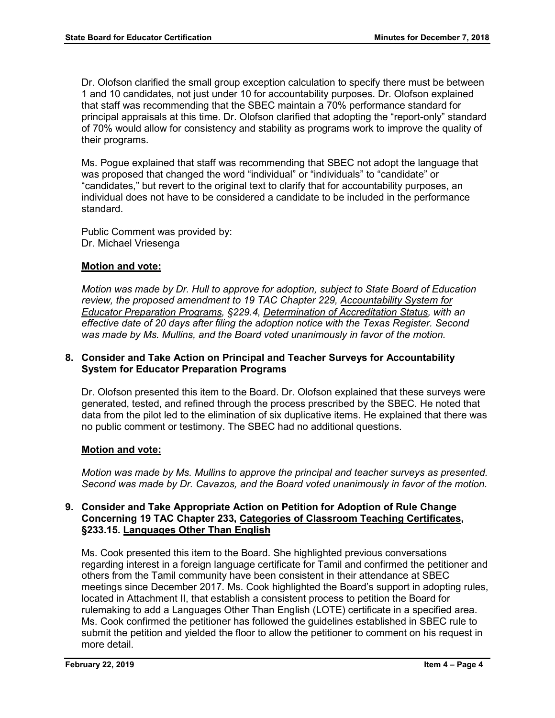Dr. Olofson clarified the small group exception calculation to specify there must be between 1 and 10 candidates, not just under 10 for accountability purposes. Dr. Olofson explained that staff was recommending that the SBEC maintain a 70% performance standard for principal appraisals at this time. Dr. Olofson clarified that adopting the "report-only" standard of 70% would allow for consistency and stability as programs work to improve the quality of their programs.

Ms. Pogue explained that staff was recommending that SBEC not adopt the language that was proposed that changed the word "individual" or "individuals" to "candidate" or "candidates," but revert to the original text to clarify that for accountability purposes, an individual does not have to be considered a candidate to be included in the performance standard.

Public Comment was provided by: Dr. Michael Vriesenga

## **Motion and vote:**

*Motion was made by Dr. Hull to approve for adoption, subject to State Board of Education review, the proposed amendment to 19 TAC Chapter 229, Accountability System for Educator Preparation Programs, §229.4, Determination of Accreditation Status, with an effective date of 20 days after filing the adoption notice with the Texas Register. Second was made by Ms. Mullins, and the Board voted unanimously in favor of the motion.* 

## **8. Consider and Take Action on Principal and Teacher Surveys for Accountability System for Educator Preparation Programs**

Dr. Olofson presented this item to the Board. Dr. Olofson explained that these surveys were generated, tested, and refined through the process prescribed by the SBEC. He noted that data from the pilot led to the elimination of six duplicative items. He explained that there was no public comment or testimony. The SBEC had no additional questions.

## **Motion and vote:**

*Motion was made by Ms. Mullins to approve the principal and teacher surveys as presented. Second was made by Dr. Cavazos, and the Board voted unanimously in favor of the motion.* 

## **9. Consider and Take Appropriate Action on Petition for Adoption of Rule Change Concerning 19 TAC Chapter 233, Categories of Classroom Teaching Certificates, §233.15. Languages Other Than English**

Ms. Cook presented this item to the Board. She highlighted previous conversations regarding interest in a foreign language certificate for Tamil and confirmed the petitioner and others from the Tamil community have been consistent in their attendance at SBEC meetings since December 2017. Ms. Cook highlighted the Board's support in adopting rules, located in Attachment II, that establish a consistent process to petition the Board for rulemaking to add a Languages Other Than English (LOTE) certificate in a specified area. Ms. Cook confirmed the petitioner has followed the guidelines established in SBEC rule to submit the petition and yielded the floor to allow the petitioner to comment on his request in more detail.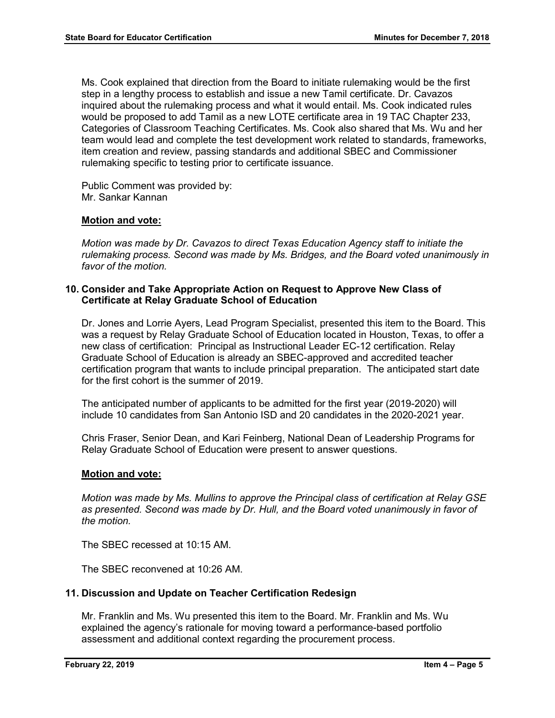Ms. Cook explained that direction from the Board to initiate rulemaking would be the first step in a lengthy process to establish and issue a new Tamil certificate. Dr. Cavazos inquired about the rulemaking process and what it would entail. Ms. Cook indicated rules would be proposed to add Tamil as a new LOTE certificate area in 19 TAC Chapter 233, Categories of Classroom Teaching Certificates. Ms. Cook also shared that Ms. Wu and her team would lead and complete the test development work related to standards, frameworks, item creation and review, passing standards and additional SBEC and Commissioner rulemaking specific to testing prior to certificate issuance.

Public Comment was provided by: Mr. Sankar Kannan

## **Motion and vote:**

*Motion was made by Dr. Cavazos to direct Texas Education Agency staff to initiate the rulemaking process. Second was made by Ms. Bridges, and the Board voted unanimously in favor of the motion.* 

#### **10. Consider and Take Appropriate Action on Request to Approve New Class of Certificate at Relay Graduate School of Education**

Dr. Jones and Lorrie Ayers, Lead Program Specialist, presented this item to the Board. This was a request by Relay Graduate School of Education located in Houston, Texas, to offer a new class of certification: Principal as Instructional Leader EC-12 certification. Relay Graduate School of Education is already an SBEC-approved and accredited teacher certification program that wants to include principal preparation. The anticipated start date for the first cohort is the summer of 2019.

The anticipated number of applicants to be admitted for the first year (2019-2020) will include 10 candidates from San Antonio ISD and 20 candidates in the 2020-2021 year.

Chris Fraser, Senior Dean, and Kari Feinberg, National Dean of Leadership Programs for Relay Graduate School of Education were present to answer questions.

#### **Motion and vote:**

*Motion was made by Ms. Mullins to approve the Principal class of certification at Relay GSE as presented. Second was made by Dr. Hull, and the Board voted unanimously in favor of the motion.* 

The SBEC recessed at 10:15 AM.

The SBEC reconvened at 10:26 AM.

## **11. Discussion and Update on Teacher Certification Redesign**

Mr. Franklin and Ms. Wu presented this item to the Board. Mr. Franklin and Ms. Wu explained the agency's rationale for moving toward a performance-based portfolio assessment and additional context regarding the procurement process.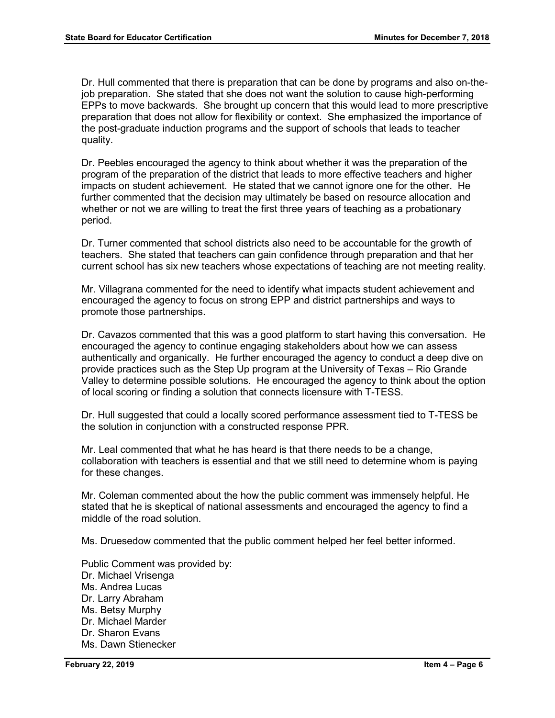Dr. Hull commented that there is preparation that can be done by programs and also on-thejob preparation. She stated that she does not want the solution to cause high-performing EPPs to move backwards. She brought up concern that this would lead to more prescriptive preparation that does not allow for flexibility or context. She emphasized the importance of the post-graduate induction programs and the support of schools that leads to teacher quality.

Dr. Peebles encouraged the agency to think about whether it was the preparation of the program of the preparation of the district that leads to more effective teachers and higher impacts on student achievement. He stated that we cannot ignore one for the other. He further commented that the decision may ultimately be based on resource allocation and whether or not we are willing to treat the first three years of teaching as a probationary period.

Dr. Turner commented that school districts also need to be accountable for the growth of teachers. She stated that teachers can gain confidence through preparation and that her current school has six new teachers whose expectations of teaching are not meeting reality.

Mr. Villagrana commented for the need to identify what impacts student achievement and encouraged the agency to focus on strong EPP and district partnerships and ways to promote those partnerships.

Dr. Cavazos commented that this was a good platform to start having this conversation. He encouraged the agency to continue engaging stakeholders about how we can assess authentically and organically. He further encouraged the agency to conduct a deep dive on provide practices such as the Step Up program at the University of Texas – Rio Grande Valley to determine possible solutions. He encouraged the agency to think about the option of local scoring or finding a solution that connects licensure with T-TESS.

Dr. Hull suggested that could a locally scored performance assessment tied to T-TESS be the solution in conjunction with a constructed response PPR.

Mr. Leal commented that what he has heard is that there needs to be a change, collaboration with teachers is essential and that we still need to determine whom is paying for these changes.

Mr. Coleman commented about the how the public comment was immensely helpful. He stated that he is skeptical of national assessments and encouraged the agency to find a middle of the road solution.

Ms. Druesedow commented that the public comment helped her feel better informed.

Public Comment was provided by: Dr. Michael Vrisenga Ms. Andrea Lucas Dr. Larry Abraham Ms. Betsy Murphy Dr. Michael Marder Dr. Sharon Evans Ms. Dawn Stienecker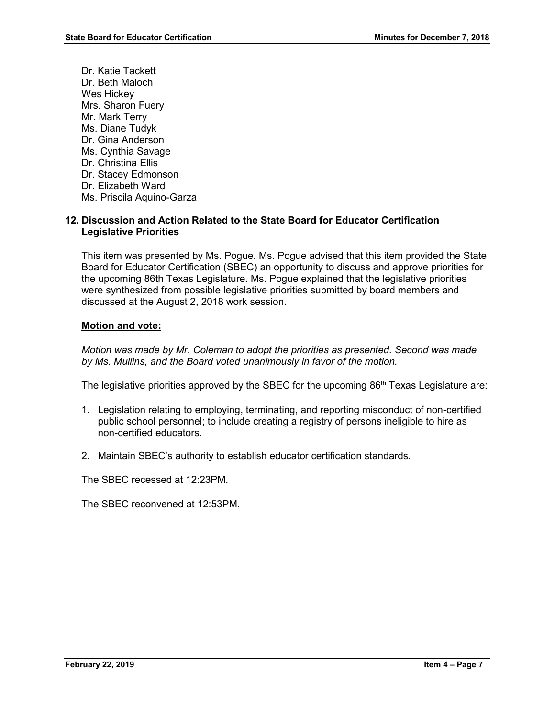Dr. Katie Tackett Dr. Beth Maloch Wes Hickey Mrs. Sharon Fuery Mr. Mark Terry Ms. Diane Tudyk Dr. Gina Anderson Ms. Cynthia Savage Dr. Christina Ellis Dr. Stacey Edmonson Dr. Elizabeth Ward Ms. Priscila Aquino-Garza

## **12. Discussion and Action Related to the State Board for Educator Certification Legislative Priorities**

This item was presented by Ms. Pogue. Ms. Pogue advised that this item provided the State Board for Educator Certification (SBEC) an opportunity to discuss and approve priorities for the upcoming 86th Texas Legislature. Ms. Pogue explained that the legislative priorities were synthesized from possible legislative priorities submitted by board members and discussed at the August 2, 2018 work session.

## **Motion and vote:**

*Motion was made by Mr. Coleman to adopt the priorities as presented. Second was made by Ms. Mullins, and the Board voted unanimously in favor of the motion.* 

The legislative priorities approved by the SBEC for the upcoming  $86<sup>th</sup>$  Texas Legislature are:

- 1. Legislation relating to employing, terminating, and reporting misconduct of non-certified public school personnel; to include creating a registry of persons ineligible to hire as non-certified educators.
- 2. Maintain SBEC's authority to establish educator certification standards.

The SBEC recessed at 12:23PM.

The SBEC reconvened at 12:53PM.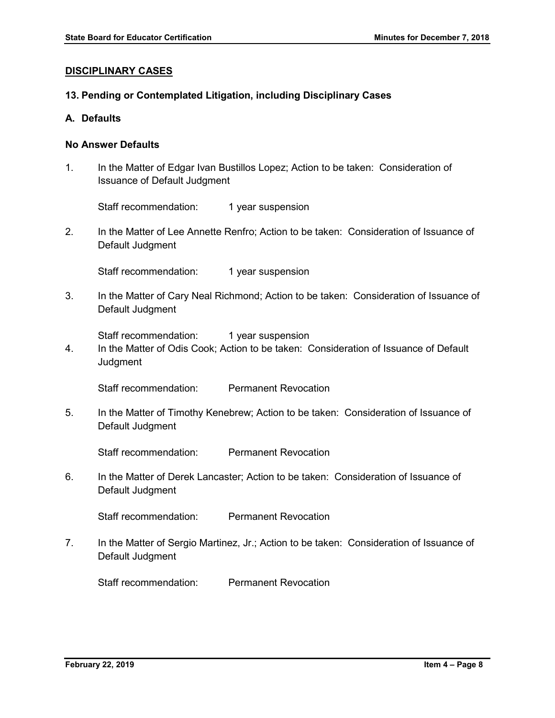## **DISCIPLINARY CASES**

## **13. Pending or Contemplated Litigation, including Disciplinary Cases**

#### **A. Defaults**

## **No Answer Defaults**

1. In the Matter of Edgar Ivan Bustillos Lopez; Action to be taken: Consideration of Issuance of Default Judgment

Staff recommendation: 1 year suspension

2. In the Matter of Lee Annette Renfro; Action to be taken: Consideration of Issuance of Default Judgment

Staff recommendation: 1 year suspension

3. In the Matter of Cary Neal Richmond; Action to be taken: Consideration of Issuance of Default Judgment

Staff recommendation: 1 year suspension

4. In the Matter of Odis Cook; Action to be taken: Consideration of Issuance of Default **Judgment** 

Staff recommendation: Permanent Revocation

5. In the Matter of Timothy Kenebrew; Action to be taken: Consideration of Issuance of Default Judgment

Staff recommendation: Permanent Revocation

6. In the Matter of Derek Lancaster; Action to be taken: Consideration of Issuance of Default Judgment

Staff recommendation: Permanent Revocation

7. In the Matter of Sergio Martinez, Jr.; Action to be taken: Consideration of Issuance of Default Judgment

Staff recommendation: Permanent Revocation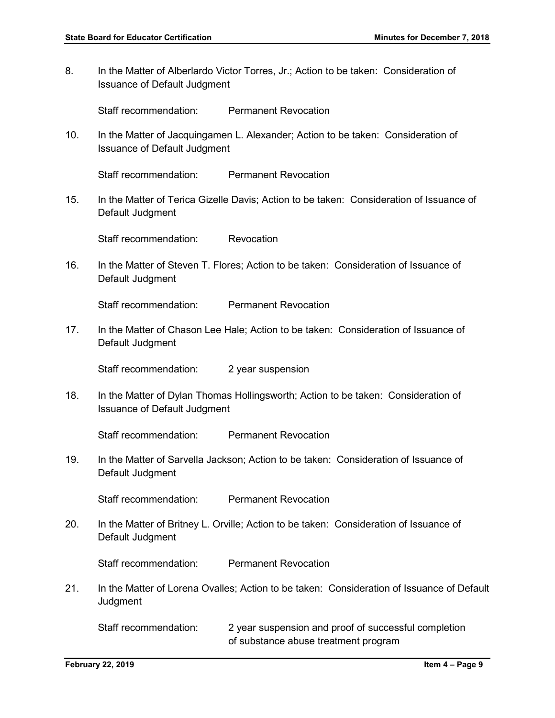8. In the Matter of Alberlardo Victor Torres, Jr.; Action to be taken: Consideration of Issuance of Default Judgment

Staff recommendation: Permanent Revocation

10. In the Matter of Jacquingamen L. Alexander; Action to be taken: Consideration of Issuance of Default Judgment

Staff recommendation: Permanent Revocation

15. In the Matter of Terica Gizelle Davis; Action to be taken: Consideration of Issuance of Default Judgment

Staff recommendation: Revocation

16. In the Matter of Steven T. Flores; Action to be taken: Consideration of Issuance of Default Judgment

Staff recommendation: Permanent Revocation

17. In the Matter of Chason Lee Hale; Action to be taken: Consideration of Issuance of Default Judgment

Staff recommendation: 2 year suspension

18. In the Matter of Dylan Thomas Hollingsworth; Action to be taken: Consideration of Issuance of Default Judgment

Staff recommendation: Permanent Revocation

19. In the Matter of Sarvella Jackson; Action to be taken: Consideration of Issuance of Default Judgment

Staff recommendation: Permanent Revocation

20. In the Matter of Britney L. Orville; Action to be taken: Consideration of Issuance of Default Judgment

Staff recommendation: Permanent Revocation

21. In the Matter of Lorena Ovalles; Action to be taken: Consideration of Issuance of Default **Judgment** 

Staff recommendation: 2 year suspension and proof of successful completion of substance abuse treatment program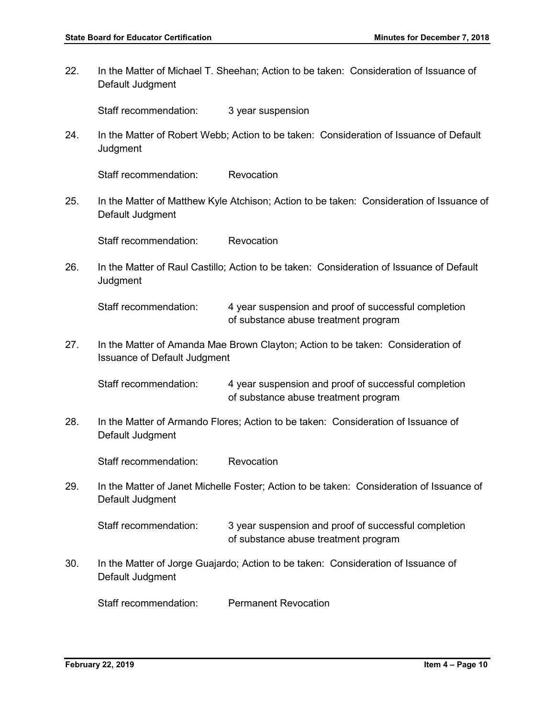22. In the Matter of Michael T. Sheehan; Action to be taken: Consideration of Issuance of Default Judgment

Staff recommendation: 3 year suspension

24. In the Matter of Robert Webb; Action to be taken: Consideration of Issuance of Default **Judgment** 

Staff recommendation: Revocation

25. In the Matter of Matthew Kyle Atchison; Action to be taken: Consideration of Issuance of Default Judgment

Staff recommendation: Revocation

26. In the Matter of Raul Castillo; Action to be taken: Consideration of Issuance of Default **Judgment** 

Staff recommendation: 4 year suspension and proof of successful completion of substance abuse treatment program

27. In the Matter of Amanda Mae Brown Clayton; Action to be taken: Consideration of Issuance of Default Judgment

Staff recommendation: 4 year suspension and proof of successful completion of substance abuse treatment program

28. In the Matter of Armando Flores; Action to be taken: Consideration of Issuance of Default Judgment

Staff recommendation: Revocation

29. In the Matter of Janet Michelle Foster; Action to be taken: Consideration of Issuance of Default Judgment

Staff recommendation: 3 year suspension and proof of successful completion of substance abuse treatment program

30. In the Matter of Jorge Guajardo; Action to be taken: Consideration of Issuance of Default Judgment

Staff recommendation: Permanent Revocation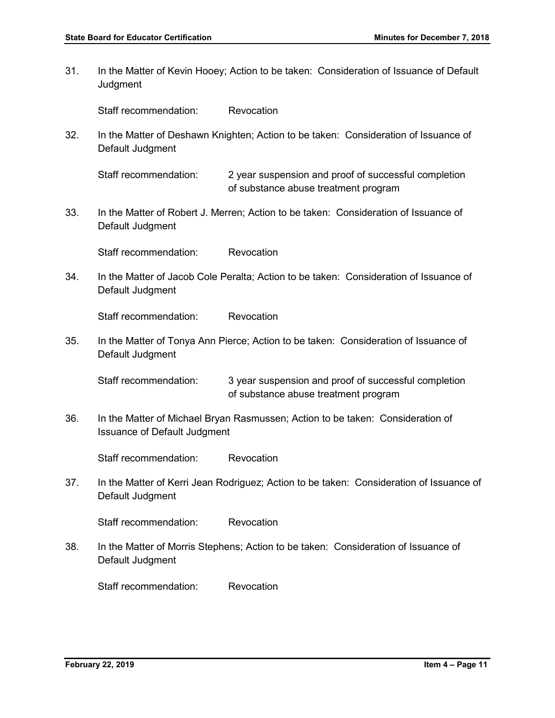31. In the Matter of Kevin Hooey; Action to be taken: Consideration of Issuance of Default **Judgment** 

Staff recommendation: Revocation

32. In the Matter of Deshawn Knighten; Action to be taken: Consideration of Issuance of Default Judgment

Staff recommendation: 2 year suspension and proof of successful completion of substance abuse treatment program

33. In the Matter of Robert J. Merren; Action to be taken: Consideration of Issuance of Default Judgment

Staff recommendation: Revocation

34. In the Matter of Jacob Cole Peralta; Action to be taken: Consideration of Issuance of Default Judgment

Staff recommendation: Revocation

35. In the Matter of Tonya Ann Pierce; Action to be taken: Consideration of Issuance of Default Judgment

Staff recommendation: 3 year suspension and proof of successful completion of substance abuse treatment program

36. In the Matter of Michael Bryan Rasmussen; Action to be taken: Consideration of Issuance of Default Judgment

Staff recommendation: Revocation

37. In the Matter of Kerri Jean Rodriguez; Action to be taken: Consideration of Issuance of Default Judgment

Staff recommendation: Revocation

38. In the Matter of Morris Stephens; Action to be taken: Consideration of Issuance of Default Judgment

Staff recommendation: Revocation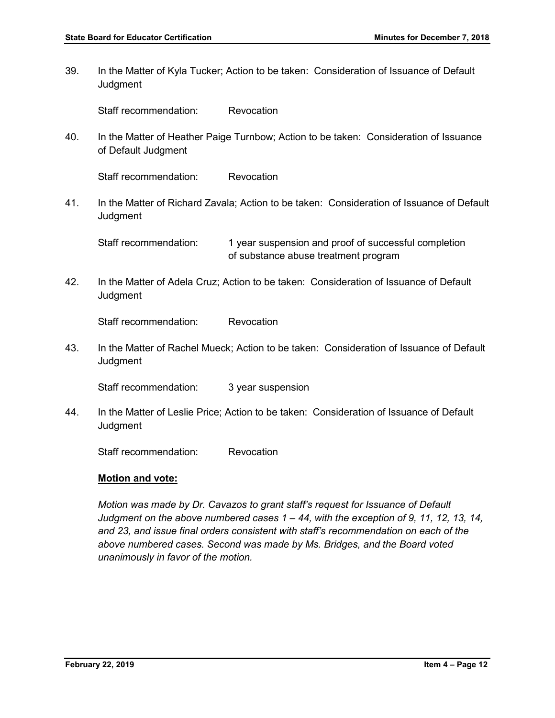39. In the Matter of Kyla Tucker; Action to be taken: Consideration of Issuance of Default **Judgment** 

Staff recommendation: Revocation

40. In the Matter of Heather Paige Turnbow; Action to be taken: Consideration of Issuance of Default Judgment

Staff recommendation: Revocation

41. In the Matter of Richard Zavala; Action to be taken: Consideration of Issuance of Default **Judgment** 

Staff recommendation: 1 year suspension and proof of successful completion of substance abuse treatment program

42. In the Matter of Adela Cruz; Action to be taken: Consideration of Issuance of Default **Judgment** 

Staff recommendation: Revocation

43. In the Matter of Rachel Mueck; Action to be taken: Consideration of Issuance of Default **Judgment** 

Staff recommendation: 3 year suspension

44. In the Matter of Leslie Price; Action to be taken: Consideration of Issuance of Default **Judgment** 

Staff recommendation: Revocation

#### **Motion and vote:**

*Motion was made by Dr. Cavazos to grant staff's request for Issuance of Default Judgment on the above numbered cases 1 – 44, with the exception of 9, 11, 12, 13, 14, and 23, and issue final orders consistent with staff's recommendation on each of the above numbered cases. Second was made by Ms. Bridges, and the Board voted unanimously in favor of the motion.*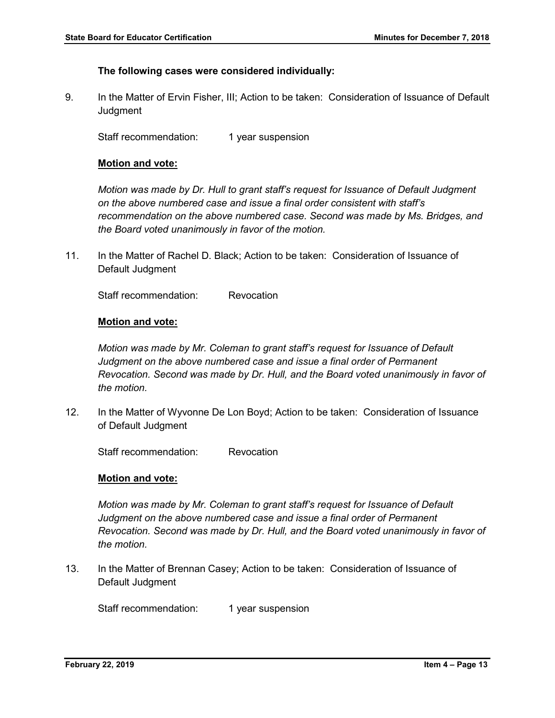#### **The following cases were considered individually:**

9. In the Matter of Ervin Fisher, III; Action to be taken: Consideration of Issuance of Default **Judgment** 

Staff recommendation: 1 year suspension

#### **Motion and vote:**

*Motion was made by Dr. Hull to grant staff's request for Issuance of Default Judgment on the above numbered case and issue a final order consistent with staff's recommendation on the above numbered case. Second was made by Ms. Bridges, and the Board voted unanimously in favor of the motion.* 

11. In the Matter of Rachel D. Black; Action to be taken: Consideration of Issuance of Default Judgment

Staff recommendation: Revocation

#### **Motion and vote:**

*Motion was made by Mr. Coleman to grant staff's request for Issuance of Default Judgment on the above numbered case and issue a final order of Permanent Revocation. Second was made by Dr. Hull, and the Board voted unanimously in favor of the motion.* 

12. In the Matter of Wyvonne De Lon Boyd; Action to be taken: Consideration of Issuance of Default Judgment

Staff recommendation: Revocation

#### **Motion and vote:**

*Motion was made by Mr. Coleman to grant staff's request for Issuance of Default Judgment on the above numbered case and issue a final order of Permanent Revocation. Second was made by Dr. Hull, and the Board voted unanimously in favor of the motion.* 

13. In the Matter of Brennan Casey; Action to be taken: Consideration of Issuance of Default Judgment

Staff recommendation: 1 year suspension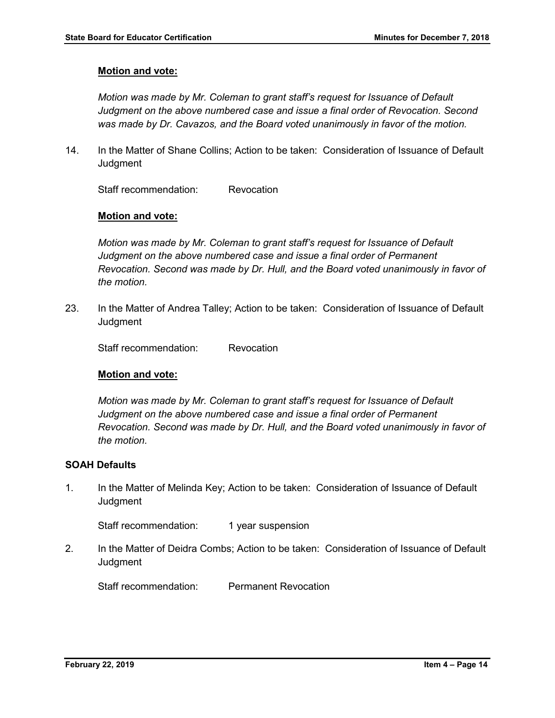## **Motion and vote:**

*Motion was made by Mr. Coleman to grant staff's request for Issuance of Default Judgment on the above numbered case and issue a final order of Revocation. Second was made by Dr. Cavazos, and the Board voted unanimously in favor of the motion.* 

14. In the Matter of Shane Collins; Action to be taken: Consideration of Issuance of Default **Judgment** 

Staff recommendation: Revocation

## **Motion and vote:**

*Motion was made by Mr. Coleman to grant staff's request for Issuance of Default Judgment on the above numbered case and issue a final order of Permanent Revocation. Second was made by Dr. Hull, and the Board voted unanimously in favor of the motion.* 

23. In the Matter of Andrea Talley; Action to be taken: Consideration of Issuance of Default **Judgment** 

Staff recommendation: Revocation

#### **Motion and vote:**

*Motion was made by Mr. Coleman to grant staff's request for Issuance of Default Judgment on the above numbered case and issue a final order of Permanent Revocation. Second was made by Dr. Hull, and the Board voted unanimously in favor of the motion.* 

## **SOAH Defaults**

1. In the Matter of Melinda Key; Action to be taken: Consideration of Issuance of Default **Judgment** 

Staff recommendation: 1 year suspension

2. In the Matter of Deidra Combs; Action to be taken: Consideration of Issuance of Default **Judgment** 

Staff recommendation: Permanent Revocation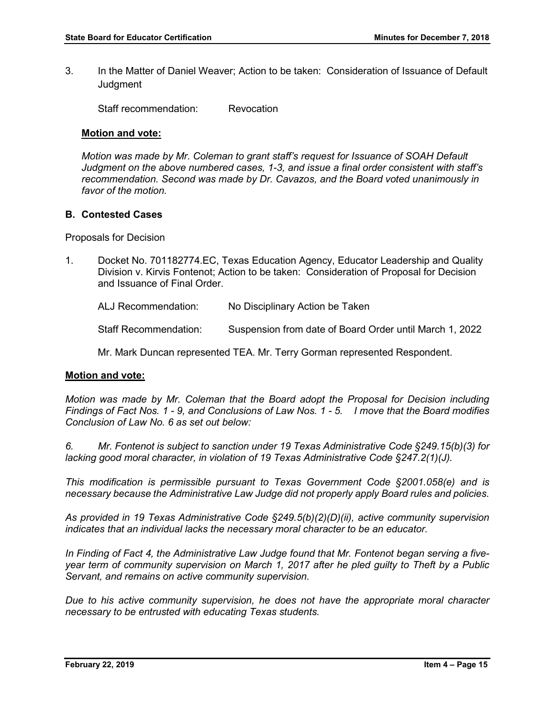3. In the Matter of Daniel Weaver; Action to be taken: Consideration of Issuance of Default **Judgment** 

Staff recommendation: Revocation

## **Motion and vote:**

*Motion was made by Mr. Coleman to grant staff's request for Issuance of SOAH Default Judgment on the above numbered cases, 1-3, and issue a final order consistent with staff's recommendation. Second was made by Dr. Cavazos, and the Board voted unanimously in favor of the motion.* 

## **B. Contested Cases**

Proposals for Decision

1. Docket No. 701182774.EC, Texas Education Agency, Educator Leadership and Quality Division v. Kirvis Fontenot; Action to be taken: Consideration of Proposal for Decision and Issuance of Final Order.

ALJ Recommendation: No Disciplinary Action be Taken

Staff Recommendation: Suspension from date of Board Order until March 1, 2022

Mr. Mark Duncan represented TEA. Mr. Terry Gorman represented Respondent.

#### **Motion and vote:**

*Motion was made by Mr. Coleman that the Board adopt the Proposal for Decision including Findings of Fact Nos. 1 - 9, and Conclusions of Law Nos. 1 - 5. I move that the Board modifies Conclusion of Law No. 6 as set out below:*

*6. Mr. Fontenot is subject to sanction under 19 Texas Administrative Code §249.15(b)(3) for lacking good moral character, in violation of 19 Texas Administrative Code §247.2(1)(J).*

*This modification is permissible pursuant to Texas Government Code §2001.058(e) and is necessary because the Administrative Law Judge did not properly apply Board rules and policies.* 

*As provided in 19 Texas Administrative Code §249.5(b)(2)(D)(ii), active community supervision indicates that an individual lacks the necessary moral character to be an educator.* 

*In Finding of Fact 4, the Administrative Law Judge found that Mr. Fontenot began serving a fiveyear term of community supervision on March 1, 2017 after he pled guilty to Theft by a Public Servant, and remains on active community supervision.* 

*Due to his active community supervision, he does not have the appropriate moral character necessary to be entrusted with educating Texas students.*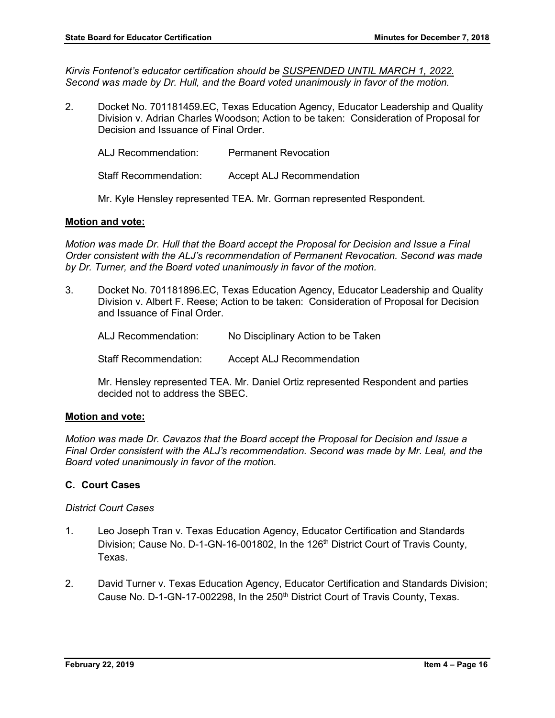*Kirvis Fontenot's educator certification should be SUSPENDED UNTIL MARCH 1, 2022. Second was made by Dr. Hull, and the Board voted unanimously in favor of the motion.*

2. Docket No. 701181459.EC, Texas Education Agency, Educator Leadership and Quality Division v. Adrian Charles Woodson; Action to be taken: Consideration of Proposal for Decision and Issuance of Final Order.

ALJ Recommendation: Permanent Revocation Staff Recommendation: Accept ALJ Recommendation

Mr. Kyle Hensley represented TEA. Mr. Gorman represented Respondent.

## **Motion and vote:**

*Motion was made Dr. Hull that the Board accept the Proposal for Decision and Issue a Final Order consistent with the ALJ's recommendation of Permanent Revocation. Second was made by Dr. Turner, and the Board voted unanimously in favor of the motion.* 

3. Docket No. 701181896.EC, Texas Education Agency, Educator Leadership and Quality Division v. Albert F. Reese; Action to be taken: Consideration of Proposal for Decision and Issuance of Final Order.

ALJ Recommendation: No Disciplinary Action to be Taken

Staff Recommendation: Accept ALJ Recommendation

Mr. Hensley represented TEA. Mr. Daniel Ortiz represented Respondent and parties decided not to address the SBEC.

#### **Motion and vote:**

*Motion was made Dr. Cavazos that the Board accept the Proposal for Decision and Issue a Final Order consistent with the ALJ's recommendation. Second was made by Mr. Leal, and the Board voted unanimously in favor of the motion.* 

## **C. Court Cases**

*District Court Cases*

- 1. Leo Joseph Tran v. Texas Education Agency, Educator Certification and Standards Division; Cause No. D-1-GN-16-001802, In the 126<sup>th</sup> District Court of Travis County, Texas.
- 2. David Turner v. Texas Education Agency, Educator Certification and Standards Division; Cause No. D-1-GN-17-002298, In the 250<sup>th</sup> District Court of Travis County, Texas.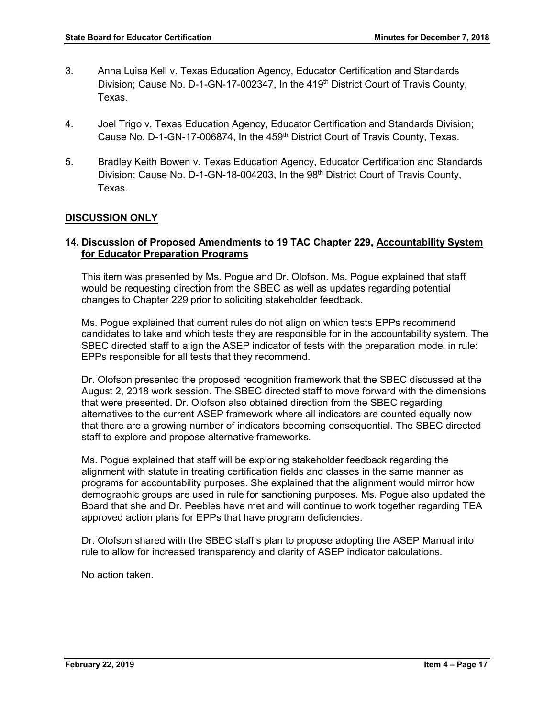- 3. Anna Luisa Kell v. Texas Education Agency, Educator Certification and Standards Division; Cause No. D-1-GN-17-002347, In the 419<sup>th</sup> District Court of Travis County, Texas.
- 4. Joel Trigo v. Texas Education Agency, Educator Certification and Standards Division; Cause No. D-1-GN-17-006874, In the 459<sup>th</sup> District Court of Travis County, Texas.
- 5. Bradley Keith Bowen v. Texas Education Agency, Educator Certification and Standards Division; Cause No. D-1-GN-18-004203, In the 98<sup>th</sup> District Court of Travis County, Texas.

## **DISCUSSION ONLY**

## **14. Discussion of Proposed Amendments to 19 TAC Chapter 229, Accountability System for Educator Preparation Programs**

This item was presented by Ms. Pogue and Dr. Olofson. Ms. Pogue explained that staff would be requesting direction from the SBEC as well as updates regarding potential changes to Chapter 229 prior to soliciting stakeholder feedback.

Ms. Pogue explained that current rules do not align on which tests EPPs recommend candidates to take and which tests they are responsible for in the accountability system. The SBEC directed staff to align the ASEP indicator of tests with the preparation model in rule: EPPs responsible for all tests that they recommend.

Dr. Olofson presented the proposed recognition framework that the SBEC discussed at the August 2, 2018 work session. The SBEC directed staff to move forward with the dimensions that were presented. Dr. Olofson also obtained direction from the SBEC regarding alternatives to the current ASEP framework where all indicators are counted equally now that there are a growing number of indicators becoming consequential. The SBEC directed staff to explore and propose alternative frameworks.

Ms. Pogue explained that staff will be exploring stakeholder feedback regarding the alignment with statute in treating certification fields and classes in the same manner as programs for accountability purposes. She explained that the alignment would mirror how demographic groups are used in rule for sanctioning purposes. Ms. Pogue also updated the Board that she and Dr. Peebles have met and will continue to work together regarding TEA approved action plans for EPPs that have program deficiencies.

Dr. Olofson shared with the SBEC staff's plan to propose adopting the ASEP Manual into rule to allow for increased transparency and clarity of ASEP indicator calculations.

No action taken.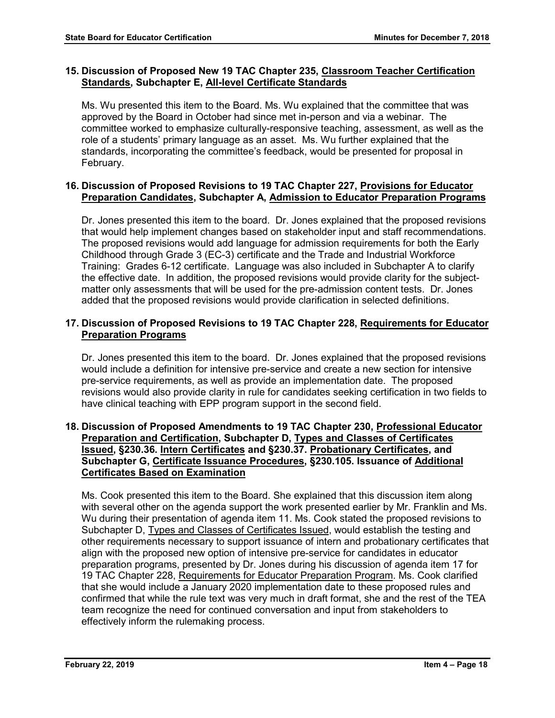## **15. Discussion of Proposed New 19 TAC Chapter 235, Classroom Teacher Certification Standards, Subchapter E, All-level Certificate Standards**

Ms. Wu presented this item to the Board. Ms. Wu explained that the committee that was approved by the Board in October had since met in-person and via a webinar. The committee worked to emphasize culturally-responsive teaching, assessment, as well as the role of a students' primary language as an asset. Ms. Wu further explained that the standards, incorporating the committee's feedback, would be presented for proposal in February.

## **16. Discussion of Proposed Revisions to 19 TAC Chapter 227, Provisions for Educator Preparation Candidates, Subchapter A, Admission to Educator Preparation Programs**

Dr. Jones presented this item to the board. Dr. Jones explained that the proposed revisions that would help implement changes based on stakeholder input and staff recommendations. The proposed revisions would add language for admission requirements for both the Early Childhood through Grade 3 (EC-3) certificate and the Trade and Industrial Workforce Training: Grades 6-12 certificate. Language was also included in Subchapter A to clarify the effective date. In addition, the proposed revisions would provide clarity for the subjectmatter only assessments that will be used for the pre-admission content tests. Dr. Jones added that the proposed revisions would provide clarification in selected definitions.

## **17. Discussion of Proposed Revisions to 19 TAC Chapter 228, Requirements for Educator Preparation Programs**

Dr. Jones presented this item to the board. Dr. Jones explained that the proposed revisions would include a definition for intensive pre-service and create a new section for intensive pre-service requirements, as well as provide an implementation date. The proposed revisions would also provide clarity in rule for candidates seeking certification in two fields to have clinical teaching with EPP program support in the second field.

## **18. Discussion of Proposed Amendments to 19 TAC Chapter 230, Professional Educator Preparation and Certification, Subchapter D, Types and Classes of Certificates Issued, §230.36. Intern Certificates and §230.37. Probationary Certificates, and Subchapter G, Certificate Issuance Procedures, §230.105. Issuance of Additional Certificates Based on Examination**

Ms. Cook presented this item to the Board. She explained that this discussion item along with several other on the agenda support the work presented earlier by Mr. Franklin and Ms. Wu during their presentation of agenda item 11. Ms. Cook stated the proposed revisions to Subchapter D, Types and Classes of Certificates Issued, would establish the testing and other requirements necessary to support issuance of intern and probationary certificates that align with the proposed new option of intensive pre-service for candidates in educator preparation programs, presented by Dr. Jones during his discussion of agenda item 17 for 19 TAC Chapter 228, Requirements for Educator Preparation Program. Ms. Cook clarified that she would include a January 2020 implementation date to these proposed rules and confirmed that while the rule text was very much in draft format, she and the rest of the TEA team recognize the need for continued conversation and input from stakeholders to effectively inform the rulemaking process.